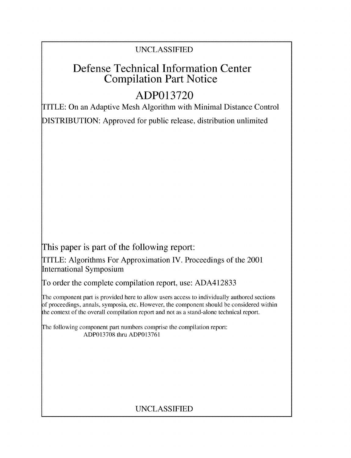## UNCLASSIFIED

# Defense Technical Information Center Compilation Part Notice

# **ADP013720**

TITLE: On an Adaptive Mesh Algorithm with Minimal Distance Control DISTRIBUTION: Approved for public release, distribution unlimited

This paper is part of the following report:

TITLE: Algorithms For Approximation IV. Proceedings of the 2001 International Symposium

To order the complete compilation report, use: ADA412833

The component part is provided here to allow users access to individually authored sections f proceedings, annals, symposia, etc. However, the component should be considered within the context of the overall compilation report and not as a stand-alone technical report.

The following component part numbers comprise the compilation report: ADP013708 thru ADP013761

## UNCLASSIFIED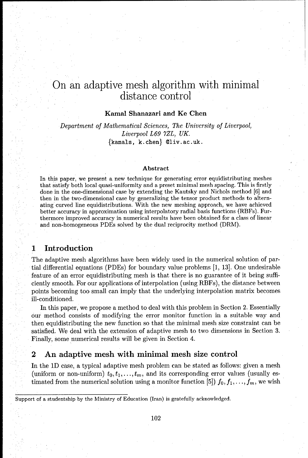## On an adaptive mesh algorithm with minimal distance control

#### Kamal Shanazari and Ke Chen

Department of *Mathematical Sciences, The University of Liverpool, Liverpool L69 7ZL, UK.* {kamals, k.chen} Oliv.ac.uk.

#### Abstract

In this paper, we present a new technique for generating error equidistributing meshes that satisfy both local quasi-uniformity and a preset minimal mesh spacing. This is firstly done in the one-dimensional case by extending the Kautsky and Nichols method [6] and then in the two-dimensional case by generalizing the tensor product methods to alternating curved line equidistributions. With the new meshing approach, we have achieved better accuracy in approximation using interpolatory radial basis functions (RBFs). Furthermore improved accuracy in numerical results have been obtained for a class of linear and non-homogeneous PDEs solved by the dual reciprocity method (DRM).

### **1** Introduction

The adaptive mesh algorithms have been widely used in the numerical solution of partial differential equations (PDEs) for boundary value problems [1, 13]. One undesirable feature of an error equidistributing mesh is that there is no guarantee of it being sufficiently smooth. For our applications of interpolation (using RBFs), the distance between points becoming too small can imply that the underlying interpolation matrix becomes ill-conditioned.

In this paper, we propose a method to deal with this problem in Section 2. Essentially our method consists of modifying the error monitor function in a suitable way and then equidistributing the new function so that the minimal mesh size constraint can be satisfied. We deal with the extension of adaptive mesh to two dimensions in Section 3. Finally, some numerical results will be given in Section 4.

#### 2 An adaptive mesh with minimal mesh size control

In the **1D** case, a typical adaptive mesh problem can be stated as follows: given a mesh (uniform or non-uniform)  $t_0, t_1, \ldots, t_m$ , and its corresponding error values (usually estimated from the numerical solution using a monitor function [5])  $f_0, f_1, \ldots, f_m$ , we wish

Support of a studentship by the Ministry of Education (Iran) is gratefully acknowledged.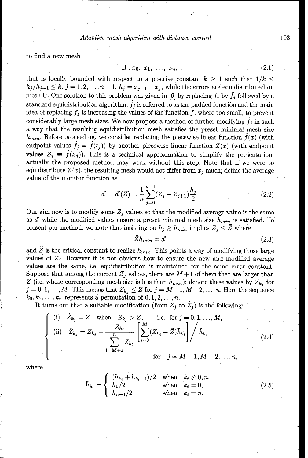to find a new mesh

$$
\Pi: x_0, x_1, \ldots, x_n, \tag{2.1}
$$

that is locally bounded with respect to a positive constant  $k \geq 1$  such that  $1/k \leq$  $h_j/h_{j-1} \leq k, j = 1, 2, \ldots, n-1, h_j = x_{j+1} - x_j$ , while the errors are equidistributed on mesh II. One solution to this problem was given in [6] by replacing  $f_i$  by  $\hat{f}_i$  followed by a standard equidistribution algorithm.  $\hat{f}_j$  is referred to as the padded function and the main idea of replacing  $f_j$  is increasing the values of the function  $f$ , where too small, to prevent considerably large mesh sizes. We now propose a method of further modifying  $\hat{f}_i$  in such a way that the resulting equidistribution mesh satisfies the preset minimal mesh size  $h_{min}$ . Before proceeding, we consider replacing the piecewise linear function  $f(x)$  (with endpoint values  $\hat{f}_j = \hat{f}(t_j)$  by another piecewise linear function  $Z(x)$  (with endpoint values  $Z_j \equiv \hat{f}(x_j)$ ). This is a technical approximation to simplify the presentation; actually the proposed method may work without this step. Note that if we were to equidistribute  $Z(x)$ , the resulting mesh would not differ from  $x_j$  much; define the average value of the monitor function as

$$
d' = d'(Z) = \frac{1}{n} \sum_{j=0}^{n-1} (Z_j + Z_{j+1}) \frac{h_j}{2}.
$$
\n(2.2)

Our aim now is to modify some  $Z_j$  values so that the modified average value is the same as *d'* while the modified values ensure a preset minimal mesh size *hmin* is satisfied. To present our method, we note that insisting on  $h_j \geq h_{min}$  implies  $Z_j \leq \bar{Z}$  where

$$
\bar{Z}h_{min} = d' \tag{2.3}
$$

and  $\overline{Z}$  is the critical constant to realize  $h_{min}$ . This points a way of modifying those large values of  $Z_j$ . However it is not obvious how to ensure the new and modified average values are the same, i.e. equidistribution is maintained for the same error constant. Suppose that among the current  $Z_j$  values, there are  $M + 1$  of them that are larger than  $\overline{Z}$  (i.e. whose corresponding mesh size is less than  $h_{min}$ ); denote these values by  $Z_{k_j}$  for  $j = 0, 1, \ldots, M$ . This means that  $Z_{k_j} \leq \bar{Z}$  for  $j = M+1, M+2, \ldots, n$ . Here the sequence  $k_0, k_1, \ldots, k_n$  represents a permutation of  $0, 1, 2, \ldots, n$ .

It turns out that a suitable modification (from  $Z_j$  to  $Z_j$ ) is the following:

(i) 
$$
\hat{Z}_{k_j} = \bar{Z}
$$
 when  $Z_{k_j} > \bar{Z}$ , i.e. for  $j = 0, 1, ..., M$ ,  
\n(ii)  $\hat{Z}_{k_j} = Z_{k_j} + \frac{Z_{k_j}}{n} \left[ \sum_{i=0}^{M} (Z_{k_i} - \bar{Z}) \bar{h}_{k_i} \right] / \bar{h}_{k_j}$   
\nfor  $j = M + 1, M + 2, ..., n$ , (2.4)

where

$$
\bar{h}_{k_i} = \begin{cases}\n(h_{k_i} + h_{k_i - 1})/2 & \text{when} \quad k_i \neq 0, n, \\
h_0/2 & \text{when} \quad k_i = 0, \\
h_{n-1}/2 & \text{when} \quad k_i = n.\n\end{cases}
$$
\n(2.5)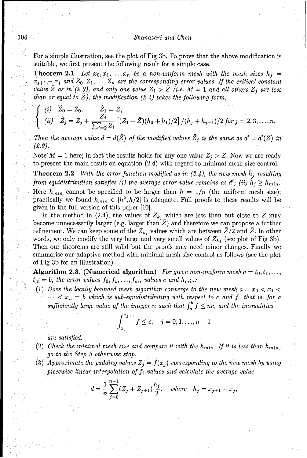#### 104 Shanazari and Chen

For a simple illustration, see the plot of Fig 3b. To prove that the above modification is suitable, we first present the following result for a simple case.

**Theorem 2.1** Let  $x_0, x_1, \ldots, x_n$  be a non-uniform mesh with the mesh sizes  $h_j =$  $x_{j+1}-x_j$  and  $Z_0, Z_1, \ldots, Z_n$  are the corresponding error values. If the critical constant value  $\bar{Z}$  as in (2.3), and only one value  $Z_1 > \bar{Z}$  (i.e.  $M = 1$  and all others  $Z_j$  are less than or equal to  $\bar{Z}$ ), the modification (2.4) takes the following form,

$$
\begin{cases}\n(i) \quad \bar{Z}_0 = Z_0, & \bar{Z}_1 = \bar{Z}, \\
(ii) \quad \hat{Z}_j = Z_j + \frac{Z_j}{\sum_{i=2}^n Z_i} \left[ (Z_1 - \bar{Z})(h_0 + h_1)/2 \right] / (h_j + h_{j-1})/2 \text{ for } j = 2, 3, \dots, n.\n\end{cases}
$$

Then the average value  $d = d(\hat{Z})$  of the modified values  $\hat{Z}_j$  is the same as  $d' = d'(Z)$  in *(2.2).*

Note  $M = 1$  here; in fact the results holds for any one value  $Z_j > Z$ . Now we are ready to present the main result on equation (2.4) with regard to minimal mesh size control.

**Theorem 2.2** With the error function modified as in  $(2.4)$ , the new mesh  $h_j$  resulting from equidistribution satisfies (i) the average error value remains as *d'*; (ii)  $h_j \geq h_{min}$ . Here  $h_{min}$  cannot be specified to be larger than  $h = 1/n$  (the uniform mesh size); practically we found  $h_{min} \in [h^2, h/2]$  is adequate. Full proofs to these results will be given in the full version of this paper [10].

In the method in (2.4), the values of  $Z_k$ , which are less than but close to  $\bar{Z}$  may become unnecessarily larger (e.g. larger than  $\bar{Z}$ ) and therefore we can propose a further refinement. We can keep some of the  $Z_{k_j}$  values which are between  $\bar{Z}/2$  and  $\bar{Z}$ . In other words, we only modify the very large and very small values of  $Z_{k_j}$  (see plot of Fig 3b). Then our theorems are still valid but the proofs may need minor changes. Finally we summarise our adaptive method with minimal mesh size control as follows (see the plot of Fig 3b for an illustration).

**Algorithm 2.3.** (Numerical algorithm) *For given non-uniform mesh*  $a = t_0, t_1, \ldots,$  $t_m = b$ , the error values  $f_0, f_1, \ldots, f_m$ , values c and  $h_{min}$ :

(1) *Does the locally bounded mesh algorithm converge to the new mesh*  $a = x_0 < x_1 <$  $\cdots < x_n = b$  which is sub-equidistributing with respect to c and f, that is, for a sufficiently large value of the integer n such that  $\int_{a}^{b} f \leq nc$ , and the inequalities

$$
\int_{x_j}^{x_{j+1}} f \leq c, \quad j = 0, 1, ..., n-1
$$

*are satisfied.*

- (2) Check the minimal mesh size and compare it with the  $h_{min}$ . If it is less than  $h_{min}$ , *go to the Step 3 otherwise stop.*
- (3) Approximate the padding values  $Z_j = f(x_j)$  corresponding to the new mesh by using *piecewise linear interpolation of*  $f_i$  *values and calculate the average value*

$$
d = \frac{1}{n} \sum_{j=0}^{n-1} (Z_j + Z_{j+1}) \frac{h_j}{2}, \quad \text{where} \quad h_j = x_{j+1} - x_j,
$$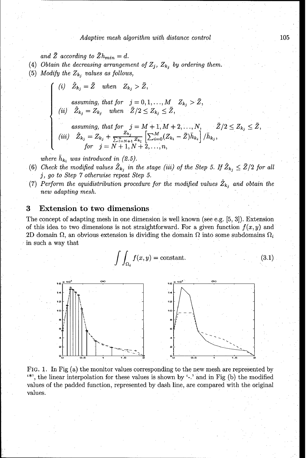and  $\bar{Z}$  according to  $\bar{Z}h_{min} = d$ .

- (4) Obtain the decreasing arrangement of  $Z_j$ ,  $Z_{k_j}$  by ordering them.
- (5) *Modify the Zk, values as follows,*

(i) 
$$
\hat{Z}_{k_j} = \bar{Z}
$$
 when  $Z_{k_j} > \bar{Z}$ ,

 $\emph{assuming, that for} \quad j = 0, 1, \ldots, M \quad Z_{k_j} > \bar{Z},$  $\hat{Z}_{k_i} = Z_{k_i}$  when  $\bar{Z}/2 \leq Z_{k_i} \leq \bar{Z}$ 

$$
\begin{array}{ll} \textit{assuming, that for} & j = M+1, M+2, \ldots, N, \quad \bar{Z}/2 \le Z_{k_j} \le \bar{Z} \\ \textit{(iii)} & \hat{Z}_{k_j} = Z_{k_j} + \frac{Z_{k_j}}{\sum_{l=N+1}^n Z_{k_l}} \left[ \sum_{i=0}^M (Z_{k_i} - \bar{Z}) \bar{h}_{k_i} \right] / \bar{h}_{k_j}, \\ \textit{for} & j = N+1, N+2, \ldots, n, \end{array}
$$

where  $\bar{h}_{k_i}$  was introduced in (2.5).

- (6) Check the modified values  $\hat{Z}_{k_i}$  in the stage (iii) of the Step 5. If  $\hat{Z}_{k_i} \leq \bar{Z}/2$  for all *j, go to Step 7 otherwise repeat Step 5.*
- (7) Perform the equidistribution procedure for the modified values  $\hat{Z}_{k_i}$  and obtain the new adapting mesh.

#### **3** Extension to two dimensions

The concept of adapting mesh in one dimension is well known (see e.g. [5, 3]). Extension of this idea to two dimensions is not straightforward. For a given function  $f(x, y)$  and 2D domain  $\Omega$ , an obvious extension is dividing the domain  $\Omega$  into some subdomains  $\Omega_i$ in such a way that

$$
\int \int_{\Omega_i} f(x, y) = \text{constant.} \tag{3.1}
$$



FIG. 1. In Fig (a) the monitor values corresponding to the new mesh are represented by **"\*',** the linear interpolation for these values is shown by **i-.'** and in Fig (b) the modified values of the padded function, represented by dash line, are compared with the original values.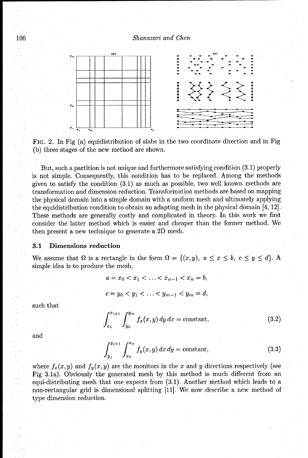#### 106 Shanazari and *Chen*



FIG. 2. In Fig (a) equidistribution of slabs in the two coordinate direction and in Fig (b) three stages of the new method are shown.

But, such a partition is not unique and furthermore satisfying condition (3.1) properly is not simple. Consequently, this condition has to be replaced. Among the methods given to satisfy the condition (3.1) as much as possible, two well known methods are transformation and dimension reduction. Transformation methods are based on mapping the physical domain into a simple domain with a uniform mesh and ultimately applying the equidistribution condition to obtain an adapting mesh in the physical domain [4, 12]. These methods are generally costly and complicated in theory. In this work we first consider the latter method which is easier and cheaper than the former method. We then present a new technique to generate a 2D mesh.

#### **3.1** Dimensions reduction

We assume that  $\Omega$  is a rectangle in the form  $\Omega = \{(x, y), a \le x \le b, c \le y \le d\}$ . simple idea is to produce the mesh,

$$
a = x_0 < x_1 < \ldots < x_{n-1} < x_n = b,
$$
\n
$$
c = y_0 < y_1 < \ldots < y_{m-1} < y_m = d,
$$

such that

$$
\int_{x_i}^{x_{i+1}} \int_{y_0}^{y_m} f_x(x, y) \, dy \, dx = \text{constant},\tag{3.2}
$$

 $\int_{x_0}^{y_0+1} f_y(x, y) dx dy = \text{constant},$  (3.3)

where  $f_x(x, y)$  and  $f_y(x, y)$  are the monitors in the x and y directions respectively (see Fig 3.1a). Obviously the generated mesh by this method is much different from an equi-distributing mesh that one expects from (3.1). Another method which leads to a non-rectangular grid is dimensional splitting 111]. We now describe a new method of type dimension reduction.

and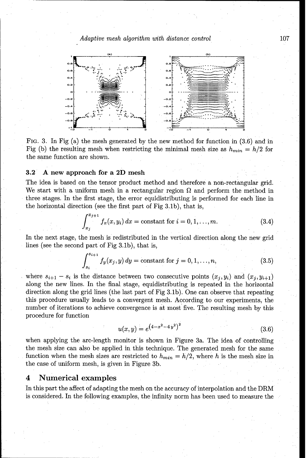#### *Adaptive mesh algorithm with distance control* 107



FIG. 3. In Fig (a) the mesh generated by the new method for function in (3.6) and in Fig (b) the resulting mesh when restricting the minimal mesh size as  $h_{min} = h/2$  for the same function are shown.

#### **3.2** A new approach for a 2D mesh

The idea is based on the tensor product method and therefore a non-rectangular grid. We start with a uniform mesh in a rectangular region  $\Omega$  and perform the method in three stages. In the first stage, the error equidistributing is performed for each line in the horizontal direction (see the first part of Fig 3.1b), that is,

$$
\int_{x_j}^{x_{j+1}} f_x(x, y_i) dx = \text{constant for } i = 0, 1, ..., m.
$$
 (3.4)

In the next stage, the mesh is redistributed in the vertical direction along the new grid lines (see the second part of Fig 3.1b), that is,

$$
\int_{s_i}^{s_{i+1}} f_y(x_j, y) dy = \text{constant for } j = 0, 1, ..., n,
$$
 (3.5)

where  $s_{i+1} - s_i$  is the distance between two consecutive points  $(x_j, y_i)$  and  $(x_j, y_{i+1})$ along the new lines. In the final stage, equidistributing is repeated in the horizontal direction along the grid lines (the last part of Fig 3.1b). One can observe that repeating this procedure usually leads to a convergent mesh. According to our experiments, the number of iterations to achieve convergence is at most five. The resulting mesh by this procedure for function

$$
u(x,y) = e^{(4-x^2-4y^2)^2}
$$
\n(3.6)

when applying the arc-length monitor is shown in Figure 3a. The idea of controlling the mesh size can also be applied in this technique. The generated mesh for the same function when the mesh sizes are restricted to  $h_{min} = h/2$ , where h is the mesh size in the case of uniform mesh, is given in Figure 3b.

#### 4 Numerical examples

In this part the affect of adapting the mesh on the accuracy of interpolation and the DRM is considered. In the following examples, the infinity norm has been used to measure the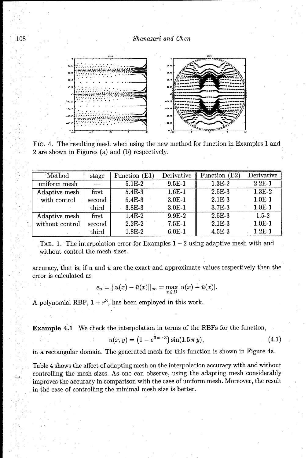108 *Shanazari and Chen*



FIG. 4. The resulting mesh when using the new method for function in Examples 1 and 2 are shown in Figures (a) and (b) respectively.

| Method          | stage  | Function (E1) | Derivative | Function (E2) | Derivative |
|-----------------|--------|---------------|------------|---------------|------------|
| uniform mesh    |        | $5.1E-2$      | $9.5E-1$   | $1.3E-2$      | $2.2E-1$   |
| Adaptive mesh   | first  | 5.4E-3        | $1.6E-1$   | $2.5E-3$      | $1.3E-2$   |
| with control    | second | 5.4E-3        | $3.0E-1$   | $2.1E-3$      | $1.0E-1$   |
|                 | third  | $3.8E-3$      | $3.0E-1$   | $3.7E-3$      | $1.0E-1$   |
| Adaptive mesh   | first  | $1.4E-2$      | $9.9F - 2$ | $2.5E-3$      | $1.5 - 2$  |
| without control | second | $2.2E-2$      | $7.5E-1$   | $2.1E-3$      | $1.0E-1$   |
|                 | third  | 1.8E-2        | $6.0E-1$   | $4.5E-3$      | $1.2E-1$   |

TAB. 1. The interpolation error for Examples  $1 - 2$  using adaptive mesh with and without control the mesh sizes.

accuracy, that is, if  $u$  and  $\bar{u}$  are the exact and approximate values respectively then the error is calculated as

$$
e_u = ||u(x) - \bar{u}(x)||_{\infty} = \max_{x \in D} |u(x) - \bar{u}(x)|.
$$

A polynomial RBF,  $1 + r^3$ , has been employed in this work.

Example 4.1 We check the interpolation in terms of the RBFs for the function,

$$
u(x,y) = (1 - e^{3x-3})\sin(1.5 \pi y), \tag{4.1}
$$

in a rectangular domain. The generated mesh for this function is shown in Figure 4a.

Table 4 shows the affect of adapting mesh on the interpolation accuracy with and without controlling the mesh sizes. As one can observe, using the adapting mesh considerably improves the accuracy in comparison with the case of uniform mesh. Moreover, the result in the case of controlling the minimal mesh size is better.